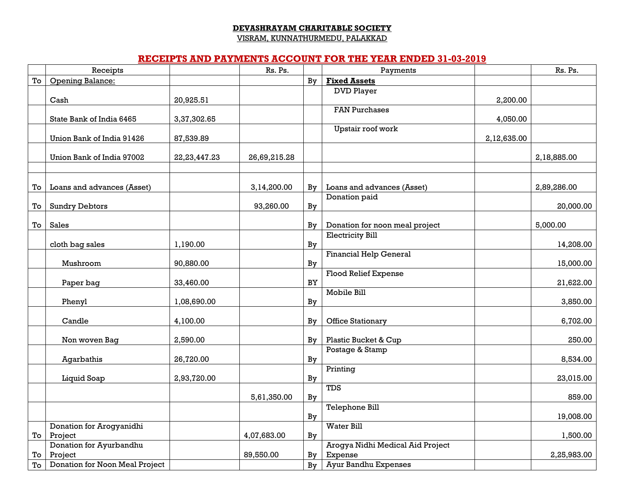#### **DEVASHRAYAM CHARITABLE SOCIETY**

VISRAM, KUNNATHURMEDU, PALAKKAD

### **RECEIPTS AND PAYMENTS ACCOUNT FOR THE YEAR ENDED 31-03-2019**

|    | Receipts                            |                 | Rs. Ps.      |    | Payments                         |             | Rs. Ps.     |
|----|-------------------------------------|-----------------|--------------|----|----------------------------------|-------------|-------------|
| To | Opening Balance:                    |                 |              | By | <b>Fixed Assets</b>              |             |             |
|    |                                     |                 |              |    | <b>DVD Player</b>                |             |             |
|    | Cash                                | 20,925.51       |              |    |                                  | 2,200.00    |             |
|    | State Bank of India 6465            | 3,37,302.65     |              |    | <b>FAN Purchases</b>             | 4,050.00    |             |
|    |                                     |                 |              |    | Upstair roof work                |             |             |
|    | Union Bank of India 91426           | 87,539.89       |              |    |                                  | 2,12,635.00 |             |
|    |                                     |                 |              |    |                                  |             |             |
|    | Union Bank of India 97002           | 22, 23, 447. 23 | 26,69,215.28 |    |                                  |             | 2,18,885.00 |
|    |                                     |                 |              |    |                                  |             |             |
|    |                                     |                 |              |    |                                  |             |             |
| To | Loans and advances (Asset)          |                 | 3,14,200.00  | Bv | Loans and advances (Asset)       |             | 2,89,286.00 |
| To | <b>Sundry Debtors</b>               |                 | 93,260.00    | By | Donation paid                    |             | 20,000.00   |
|    |                                     |                 |              |    |                                  |             |             |
| To | Sales                               |                 |              | Bv | Donation for noon meal project   |             | 5,000.00    |
|    |                                     |                 |              |    | <b>Electricity Bill</b>          |             |             |
|    | cloth bag sales                     | 1,190.00        |              | By |                                  |             | 14,208.00   |
|    |                                     |                 |              |    | <b>Financial Help General</b>    |             |             |
|    | Mushroom                            | 90,880.00       |              | By |                                  |             | 15,000.00   |
|    | Paper bag                           | 33,460.00       |              | BY | <b>Flood Relief Expense</b>      |             | 21,622.00   |
|    |                                     |                 |              |    | Mobile Bill                      |             |             |
|    | Phenyl                              | 1,08,690.00     |              | By |                                  |             | 3,850.00    |
|    |                                     |                 |              |    |                                  |             |             |
|    | Candle                              | 4,100.00        |              | By | Office Stationary                |             | 6,702.00    |
|    |                                     |                 |              |    |                                  |             |             |
|    | Non woven Bag                       | 2,590.00        |              | By | Plastic Bucket & Cup             |             | 250.00      |
|    | Agarbathis                          | 26,720.00       |              | By | Postage & Stamp                  |             | 8,534.00    |
|    |                                     |                 |              |    | Printing                         |             |             |
|    | Liquid Soap                         | 2,93,720.00     |              | By |                                  |             | 23,015.00   |
|    |                                     |                 |              |    | <b>TDS</b>                       |             |             |
|    |                                     |                 | 5,61,350.00  | By |                                  |             | 859.00      |
|    |                                     |                 |              |    | <b>Telephone Bill</b>            |             |             |
|    |                                     |                 |              | By |                                  |             | 19,008.00   |
| To | Donation for Arogyanidhi<br>Project |                 | 4,07,683.00  | By | <b>Water Bill</b>                |             | 1,500.00    |
|    | Donation for Ayurbandhu             |                 |              |    | Arogya Nidhi Medical Aid Project |             |             |
| To | Project                             |                 | 89,550.00    | By | Expense                          |             | 2,25,983.00 |
| To | Donation for Noon Meal Project      |                 |              | By | <b>Ayur Bandhu Expenses</b>      |             |             |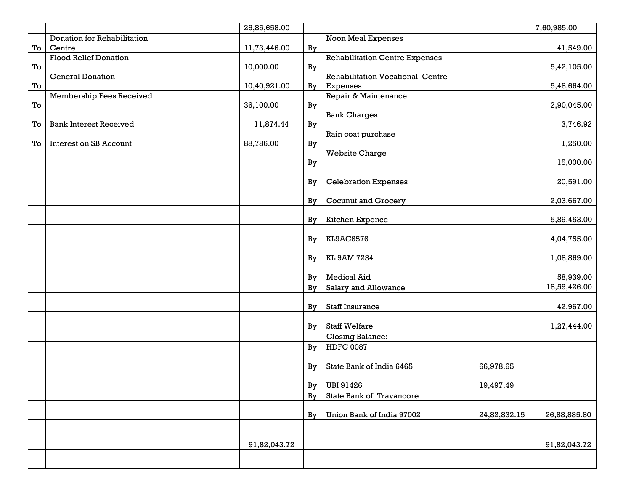|    |                               | 26,85,658.00 |    |                                         |              | 7,60,985.00  |
|----|-------------------------------|--------------|----|-----------------------------------------|--------------|--------------|
|    | Donation for Rehabilitation   |              |    | <b>Noon Meal Expenses</b>               |              |              |
| To | Centre                        | 11,73,446.00 | By |                                         |              | 41,549.00    |
|    | <b>Flood Relief Donation</b>  |              |    | <b>Rehabilitation Centre Expenses</b>   |              |              |
| To |                               | 10,000.00    | By |                                         |              | 5,42,105.00  |
|    | <b>General Donation</b>       |              |    | <b>Rehabilitation Vocational Centre</b> |              |              |
| To |                               | 10,40,921.00 | By | Expenses                                |              | 5,48,664.00  |
|    | Membership Fees Received      |              |    | Repair & Maintenance                    |              |              |
| To |                               | 36,100.00    | By |                                         |              | 2,90,045.00  |
|    |                               |              |    | <b>Bank Charges</b>                     |              |              |
| To | <b>Bank Interest Received</b> | 11,874.44    | By |                                         |              | 3,746.92     |
|    |                               |              |    | Rain coat purchase                      |              |              |
| To | Interest on SB Account        | 88,786.00    | By |                                         |              | 1,250.00     |
|    |                               |              |    | <b>Website Charge</b>                   |              |              |
|    |                               |              | By |                                         |              | 15,000.00    |
|    |                               |              |    |                                         |              |              |
|    |                               |              | By | <b>Celebration Expenses</b>             |              | 20,591.00    |
|    |                               |              |    |                                         |              |              |
|    |                               |              | By | <b>Cocunut and Grocery</b>              |              | 2,03,667.00  |
|    |                               |              |    |                                         |              |              |
|    |                               |              | By | Kitchen Expence                         |              | 5,89,453.00  |
|    |                               |              |    |                                         |              |              |
|    |                               |              | By | KL9AC6576                               |              | 4,04,755.00  |
|    |                               |              |    |                                         |              |              |
|    |                               |              | By | KL 9AM 7234                             |              | 1,08,869.00  |
|    |                               |              |    |                                         |              |              |
|    |                               |              | By | <b>Medical Aid</b>                      |              | 58,939.00    |
|    |                               |              | By | Salary and Allowance                    |              | 18,59,426.00 |
|    |                               |              |    |                                         |              |              |
|    |                               |              | By | <b>Staff Insurance</b>                  |              | 42,967.00    |
|    |                               |              |    |                                         |              |              |
|    |                               |              | By | <b>Staff Welfare</b>                    |              | 1,27,444.00  |
|    |                               |              |    | Closing Balance:                        |              |              |
|    |                               |              | By | <b>HDFC 0087</b>                        |              |              |
|    |                               |              |    |                                         |              |              |
|    |                               |              | By | State Bank of India 6465                | 66,978.65    |              |
|    |                               |              |    |                                         |              |              |
|    |                               |              | By | <b>UBI 91426</b>                        | 19,497.49    |              |
|    |                               |              | By | State Bank of Travancore                |              |              |
|    |                               |              |    |                                         |              |              |
|    |                               |              | By | Union Bank of India 97002               | 24,82,832.15 | 26,88,885.80 |
|    |                               |              |    |                                         |              |              |
|    |                               |              |    |                                         |              |              |
|    |                               | 91,82,043.72 |    |                                         |              | 91,82,043.72 |
|    |                               |              |    |                                         |              |              |
|    |                               |              |    |                                         |              |              |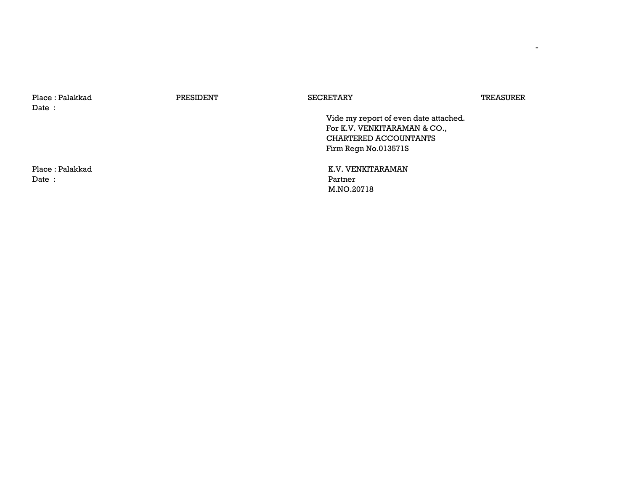| Place: Palakkad<br>Date: | PRESIDENT | <b>SECRETARY</b>                      | TREASURER |
|--------------------------|-----------|---------------------------------------|-----------|
|                          |           | Vide my report of even date attached. |           |
|                          |           | For K.V. VENKITARAMAN & CO.,          |           |
|                          |           | CHARTERED ACCOUNTANTS                 |           |
|                          |           | Firm Regn No.013571S                  |           |
| Place: Palakkad          |           | K.V. VENKITARAMAN                     |           |
| Date:                    |           | Partner                               |           |
|                          |           | M.NO.20718                            |           |

-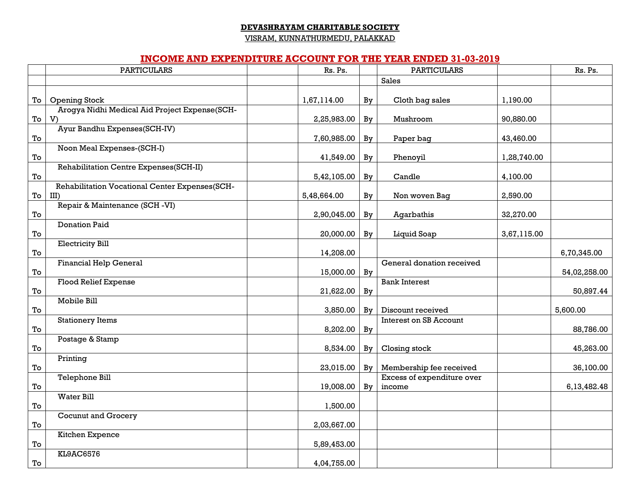#### **DEVASHRAYAM CHARITABLE SOCIETY**

VISRAM, KUNNATHURMEDU, PALAKKAD

#### **INCOME AND EXPENDITURE ACCOUNT FOR THE YEAR ENDED 31-03-2019**

|                              | involnib inno bill bindi lub ilogodin i or i iib i billi bindbd ui-vu-bulu |             |    |                               |             |              |
|------------------------------|----------------------------------------------------------------------------|-------------|----|-------------------------------|-------------|--------------|
|                              | <b>PARTICULARS</b>                                                         | Rs. Ps.     |    | <b>PARTICULARS</b>            |             | Rs. Ps.      |
|                              |                                                                            |             |    | <b>Sales</b>                  |             |              |
|                              |                                                                            |             |    |                               |             |              |
| To                           | <b>Opening Stock</b>                                                       | 1,67,114.00 | By | Cloth bag sales               | 1,190.00    |              |
|                              | Arogya Nidhi Medical Aid Project Expense(SCH-                              |             |    |                               |             |              |
| To                           | V)                                                                         | 2,25,983.00 | By | Mushroom                      | 90,880.00   |              |
|                              | Ayur Bandhu Expenses(SCH-IV)                                               |             |    |                               |             |              |
| $\operatorname{\mathsf{To}}$ |                                                                            | 7,60,985.00 | By | Paper bag                     | 43,460.00   |              |
|                              | Noon Meal Expenses-(SCH-I)                                                 |             |    |                               |             |              |
| To                           |                                                                            | 41,549.00   | By | Phenoyil                      | 1,28,740.00 |              |
|                              | Rehabilitation Centre Expenses(SCH-II)                                     |             |    |                               |             |              |
| To                           |                                                                            | 5,42,105.00 | By | Candle                        | 4,100.00    |              |
|                              | Rehabilitation Vocational Center Expenses(SCH-                             |             |    |                               |             |              |
| To                           | $III$ )                                                                    | 5,48,664.00 | By | Non woven Bag                 | 2,590.00    |              |
|                              | Repair & Maintenance (SCH-VI)                                              |             |    |                               |             |              |
|                              |                                                                            |             |    |                               |             |              |
| To                           | <b>Donation Paid</b>                                                       | 2,90,045.00 | By | Agarbathis                    | 32,270.00   |              |
|                              |                                                                            |             |    |                               |             |              |
| $\operatorname{\mathsf{To}}$ |                                                                            | 20,000.00   | By | Liquid Soap                   | 3,67,115.00 |              |
|                              | <b>Electricity Bill</b>                                                    |             |    |                               |             |              |
| To                           |                                                                            | 14,208.00   |    |                               |             | 6,70,345.00  |
|                              | <b>Financial Help General</b>                                              |             |    | General donation received     |             |              |
| To                           |                                                                            | 15,000.00   | By |                               |             | 54,02,258.00 |
|                              | <b>Flood Relief Expense</b>                                                |             |    | <b>Bank Interest</b>          |             |              |
| To                           |                                                                            | 21,622.00   | By |                               |             | 50,897.44    |
|                              | Mobile Bill                                                                |             |    |                               |             |              |
| To                           |                                                                            | 3,850.00    | By | Discount received             |             | 5,600.00     |
|                              | <b>Stationery Items</b>                                                    |             |    | <b>Interest on SB Account</b> |             |              |
| To                           |                                                                            | 8,202.00    | By |                               |             | 88,786.00    |
|                              | Postage & Stamp                                                            |             |    |                               |             |              |
| To                           |                                                                            | 8,534.00    | By | Closing stock                 |             | 45,263.00    |
|                              | Printing                                                                   |             |    |                               |             |              |
| To                           |                                                                            | 23,015.00   | Bv | Membership fee received       |             | 36,100.00    |
|                              | <b>Telephone Bill</b>                                                      |             |    | Excess of expenditure over    |             |              |
| To                           |                                                                            | 19,008.00   | Bv | income                        |             | 6,13,482.48  |
|                              | <b>Water Bill</b>                                                          |             |    |                               |             |              |
| To                           |                                                                            | 1,500.00    |    |                               |             |              |
|                              | <b>Cocunut and Grocery</b>                                                 |             |    |                               |             |              |
| To                           |                                                                            | 2,03,667.00 |    |                               |             |              |
|                              | Kitchen Expence                                                            |             |    |                               |             |              |
| To                           |                                                                            | 5,89,453.00 |    |                               |             |              |
|                              | <b>KL9AC6576</b>                                                           |             |    |                               |             |              |
| $\operatorname{\mathsf{To}}$ |                                                                            | 4,04,755.00 |    |                               |             |              |
|                              |                                                                            |             |    |                               |             |              |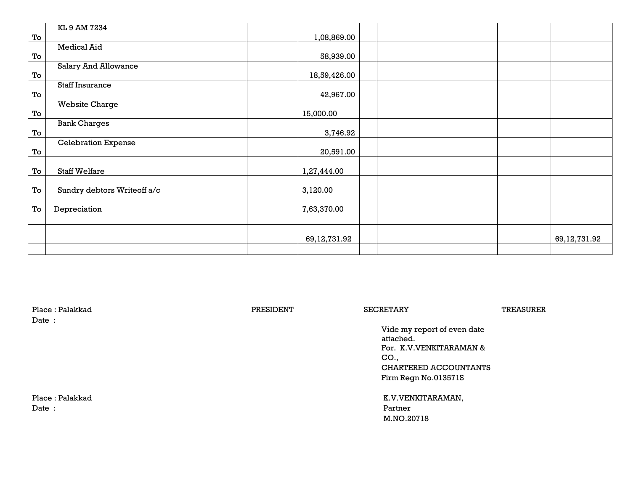|    | KL 9 AM 7234                |                 |  |                 |
|----|-----------------------------|-----------------|--|-----------------|
| To |                             | 1,08,869.00     |  |                 |
|    | Medical Aid                 |                 |  |                 |
| To |                             | 58,939.00       |  |                 |
|    | <b>Salary And Allowance</b> |                 |  |                 |
| To |                             | 18,59,426.00    |  |                 |
|    | <b>Staff Insurance</b>      |                 |  |                 |
| To |                             | 42,967.00       |  |                 |
|    | <b>Website Charge</b>       |                 |  |                 |
| To |                             | 15,000.00       |  |                 |
|    | <b>Bank Charges</b>         |                 |  |                 |
| To |                             | 3,746.92        |  |                 |
|    | <b>Celebration Expense</b>  |                 |  |                 |
| To |                             | 20,591.00       |  |                 |
|    |                             |                 |  |                 |
| To | <b>Staff Welfare</b>        | 1,27,444.00     |  |                 |
|    |                             |                 |  |                 |
| To | Sundry debtors Writeoff a/c | 3,120.00        |  |                 |
|    |                             |                 |  |                 |
| To | Depreciation                | 7,63,370.00     |  |                 |
|    |                             |                 |  |                 |
|    |                             |                 |  |                 |
|    |                             | 69, 12, 731. 92 |  | 69, 12, 731. 92 |
|    |                             |                 |  |                 |

| Place: Palakkad<br>Date : | PRESIDENT | <b>SECRETARY</b>                                                                                                                        | TREASURER |
|---------------------------|-----------|-----------------------------------------------------------------------------------------------------------------------------------------|-----------|
|                           |           | Vide my report of even date<br>attached.<br>For. K.V.VENKITARAMAN &<br>CO <sub>1</sub><br>CHARTERED ACCOUNTANTS<br>Firm Regn No.013571S |           |
| Place: Palakkad<br>Date:  |           | K.V.VENKITARAMAN,<br>Partner<br>M.NO.20718                                                                                              |           |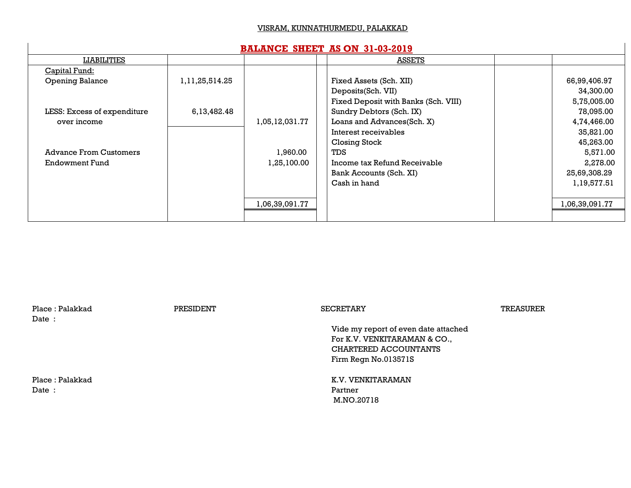#### VISRAM, KUNNATHURMEDU, PALAKKAD

#### **BALANCE SHEET AS ON 31-03-2019**

| LIABILITIES                   |                |                | <u>ASSETS</u>                        |                |
|-------------------------------|----------------|----------------|--------------------------------------|----------------|
| Capital Fund:                 |                |                |                                      |                |
| <b>Opening Balance</b>        | 1,11,25,514.25 |                | Fixed Assets (Sch. XII)              | 66,99,406.97   |
|                               |                |                | Deposits(Sch. VII)                   | 34,300.00      |
|                               |                |                | Fixed Deposit with Banks (Sch. VIII) | 5,75,005.00    |
| LESS: Excess of expenditure   | 6,13,482.48    |                | Sundry Debtors (Sch. IX)             | 78,095.00      |
| over income                   |                | 1,05,12,031.77 | Loans and Advances(Sch. X)           | 4,74,466.00    |
|                               |                |                | Interest receivables                 | 35,821.00      |
|                               |                |                | Closing Stock                        | 45,263.00      |
| <b>Advance From Customers</b> |                | 1,960.00       | <b>TDS</b>                           | 5,571.00       |
| Endowment Fund                |                | 1,25,100.00    | Income tax Refund Receivable         | 2,278.00       |
|                               |                |                | Bank Accounts (Sch. XI)              | 25,69,308.29   |
|                               |                |                | Cash in hand                         | 1,19,577.51    |
|                               |                |                |                                      |                |
|                               |                | 1,06,39,091.77 |                                      | 1,06,39,091.77 |
|                               |                |                |                                      |                |

| Place: Palakkad<br>Date: | PRESIDENT | <b>SECRETARY</b>                                                                                                      | TREASURER |
|--------------------------|-----------|-----------------------------------------------------------------------------------------------------------------------|-----------|
|                          |           | Vide my report of even date attached<br>For K.V. VENKITARAMAN & CO.,<br>CHARTERED ACCOUNTANTS<br>Firm Regn No.013571S |           |
| Place: Palakkad<br>Date: |           | K.V. VENKITARAMAN<br>Partner<br>M.NO.20718                                                                            |           |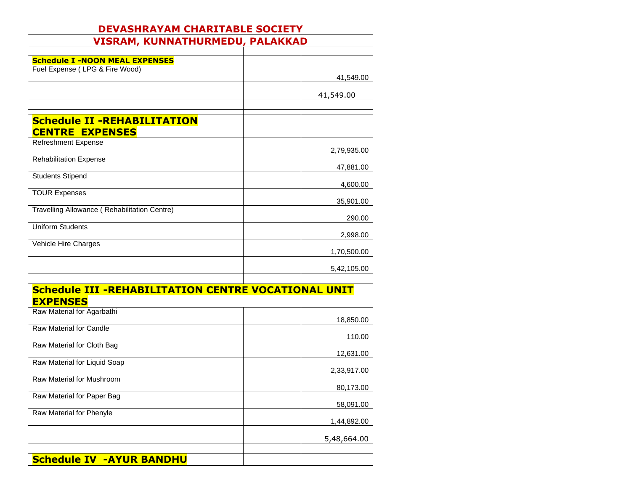| <b>DEVASHRAYAM CHARITABLE SOCIETY</b>                                         |             |
|-------------------------------------------------------------------------------|-------------|
| <b>VISRAM, KUNNATHURMEDU, PALAKKAD</b>                                        |             |
|                                                                               |             |
| <b>Schedule I -NOON MEAL EXPENSES</b><br>Fuel Expense (LPG & Fire Wood)       |             |
|                                                                               | 41,549.00   |
|                                                                               | 41,549.00   |
|                                                                               |             |
| <b>Schedule II -REHABILITATION</b><br><b>CENTRE EXPENSES</b>                  |             |
| <b>Refreshment Expense</b>                                                    | 2,79,935.00 |
| <b>Rehabilitation Expense</b>                                                 | 47,881.00   |
| <b>Students Stipend</b>                                                       | 4,600.00    |
| <b>TOUR Expenses</b>                                                          | 35,901.00   |
| Travelling Allowance (Rehabilitation Centre)                                  | 290.00      |
| <b>Uniform Students</b>                                                       |             |
| Vehicle Hire Charges                                                          | 2,998.00    |
|                                                                               | 1,70,500.00 |
|                                                                               | 5,42,105.00 |
| <b>Schedule III -REHABILITATION CENTRE VOCATIONAL UNIT</b><br><b>EXPENSES</b> |             |
| Raw Material for Agarbathi                                                    |             |
| Raw Material for Candle                                                       | 18,850.00   |
| Raw Material for Cloth Bag                                                    | 110.00      |
|                                                                               | 12,631.00   |
| Raw Material for Liquid Soap                                                  | 2,33,917.00 |
| Raw Material for Mushroom                                                     | 80,173.00   |
| Raw Material for Paper Bag                                                    | 58,091.00   |
| Raw Material for Phenyle                                                      | 1,44,892.00 |
|                                                                               | 5,48,664.00 |
|                                                                               |             |
| <b>Schedule IV -AYUR BANDHU</b>                                               |             |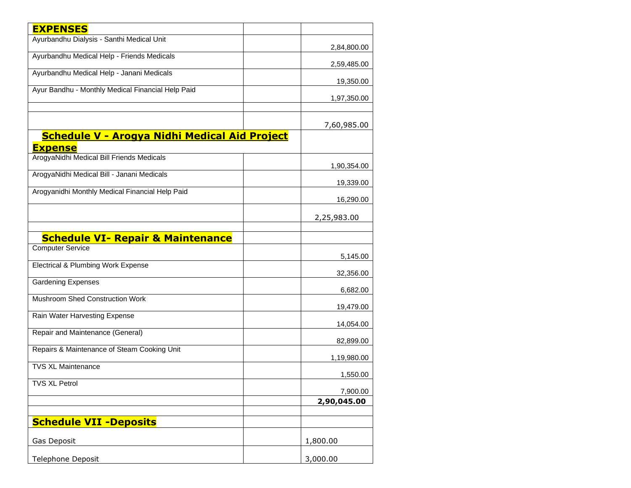| <b>EXPENSES</b>                                                        |                         |
|------------------------------------------------------------------------|-------------------------|
| Ayurbandhu Dialysis - Santhi Medical Unit                              | 2,84,800.00             |
| Ayurbandhu Medical Help - Friends Medicals                             |                         |
| Ayurbandhu Medical Help - Janani Medicals                              | 2,59,485.00             |
| Ayur Bandhu - Monthly Medical Financial Help Paid                      | 19,350.00               |
|                                                                        | 1,97,350.00             |
|                                                                        | 7,60,985.00             |
| <b>Schedule V - Arogya Nidhi Medical Aid Project</b><br><b>Expense</b> |                         |
| ArogyaNidhi Medical Bill Friends Medicals                              |                         |
| ArogyaNidhi Medical Bill - Janani Medicals                             | 1,90,354.00             |
| Arogyanidhi Monthly Medical Financial Help Paid                        | 19,339.00<br>16,290.00  |
|                                                                        | 2,25,983.00             |
| <b>Schedule VI- Repair &amp; Maintenance</b>                           |                         |
| <b>Computer Service</b>                                                |                         |
| <b>Electrical &amp; Plumbing Work Expense</b>                          | 5,145.00                |
| <b>Gardening Expenses</b>                                              | 32,356.00               |
| Mushroom Shed Construction Work                                        | 6,682.00                |
| Rain Water Harvesting Expense                                          | 19,479.00               |
| Repair and Maintenance (General)                                       | 14,054.00               |
| Repairs & Maintenance of Steam Cooking Unit                            | 82,899.00               |
| <b>TVS XL Maintenance</b>                                              | 1,19,980.00             |
| <b>TVS XL Petrol</b>                                                   | 1,550.00                |
|                                                                        | 7,900.00<br>2,90,045.00 |
|                                                                        |                         |
| <b>Schedule VII -Deposits</b>                                          |                         |
| Gas Deposit                                                            | 1,800.00                |
| Telephone Deposit                                                      | 3,000.00                |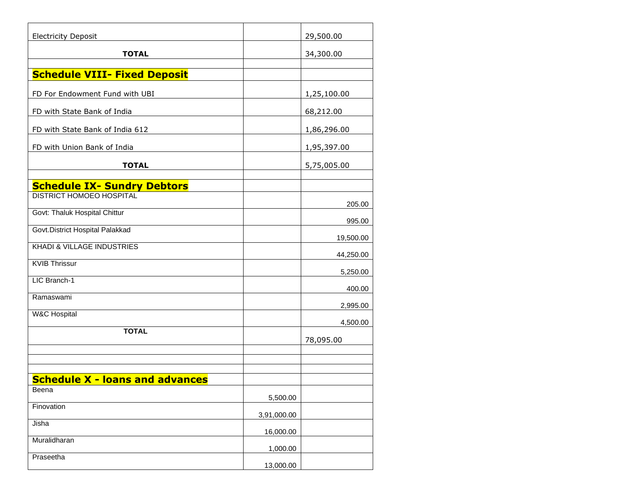| <b>Electricity Deposit</b>             |             | 29,500.00              |
|----------------------------------------|-------------|------------------------|
| <b>TOTAL</b>                           |             | 34,300.00              |
| <b>Schedule VIII- Fixed Deposit</b>    |             |                        |
| FD For Endowment Fund with UBI         |             | 1,25,100.00            |
| FD with State Bank of India            |             | 68,212.00              |
| FD with State Bank of India 612        |             | 1,86,296.00            |
| FD with Union Bank of India            |             | 1,95,397.00            |
| <b>TOTAL</b>                           |             | 5,75,005.00            |
| <b>Schedule IX- Sundry Debtors</b>     |             |                        |
| <b>DISTRICT HOMOEO HOSPITAL</b>        |             | 205.00                 |
| Govt: Thaluk Hospital Chittur          |             | 995.00                 |
| Govt. District Hospital Palakkad       |             |                        |
| <b>KHADI &amp; VILLAGE INDUSTRIES</b>  |             | 19,500.00<br>44,250.00 |
| <b>KVIB Thrissur</b>                   |             | 5,250.00               |
| LIC Branch-1                           |             | 400.00                 |
| Ramaswami                              |             | 2,995.00               |
| <b>W&amp;C Hospital</b>                |             |                        |
| <b>TOTAL</b>                           |             | 4,500.00<br>78,095.00  |
|                                        |             |                        |
|                                        |             |                        |
| <b>Schedule X - loans and advances</b> |             |                        |
| Beena                                  | 5,500.00    |                        |
| Finovation                             | 3,91,000.00 |                        |
| Jisha                                  | 16,000.00   |                        |
| Muralidharan                           | 1,000.00    |                        |
| Praseetha                              | 13,000.00   |                        |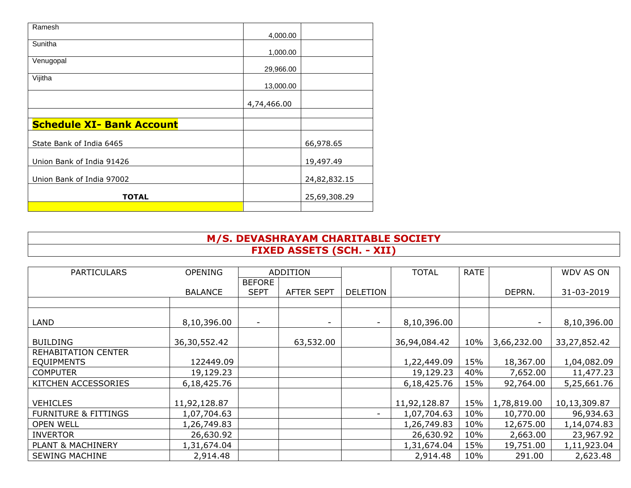| Ramesh                           | 4,000.00    |              |
|----------------------------------|-------------|--------------|
| Sunitha                          |             |              |
|                                  | 1,000.00    |              |
| Venugopal                        | 29,966.00   |              |
| Vijitha                          |             |              |
|                                  | 13,000.00   |              |
|                                  |             |              |
|                                  | 4,74,466.00 |              |
|                                  |             |              |
| <b>Schedule XI- Bank Account</b> |             |              |
| State Bank of India 6465         |             | 66,978.65    |
|                                  |             |              |
| Union Bank of India 91426        |             | 19,497.49    |
|                                  |             |              |
| Union Bank of India 97002        |             | 24,82,832.15 |
| <b>TOTAL</b>                     |             | 25,69,308.29 |
|                                  |             |              |

## **M/S. DEVASHRAYAM CHARITABLE SOCIETY FIXED ASSETS (SCH. - XII)**

| <b>PARTICULARS</b>              | <b>OPENING</b> |                          | ADDITION                 |                          | <b>TOTAL</b> | <b>RATE</b> |             | <b>WDV AS ON</b> |
|---------------------------------|----------------|--------------------------|--------------------------|--------------------------|--------------|-------------|-------------|------------------|
|                                 |                | <b>BEFORE</b>            |                          |                          |              |             |             |                  |
|                                 | <b>BALANCE</b> | <b>SEPT</b>              | <b>AFTER SEPT</b>        | <b>DELETION</b>          |              |             | DEPRN.      | 31-03-2019       |
|                                 |                |                          |                          |                          |              |             |             |                  |
|                                 |                |                          |                          |                          |              |             |             |                  |
| LAND                            | 8,10,396.00    | $\overline{\phantom{0}}$ | $\overline{\phantom{0}}$ | $\overline{\phantom{a}}$ | 8,10,396.00  |             |             | 8,10,396.00      |
| <b>BUILDING</b>                 | 36,30,552.42   |                          | 63,532.00                |                          | 36,94,084.42 | 10%         | 3,66,232.00 | 33,27,852.42     |
| REHABITATION CENTER             |                |                          |                          |                          |              |             |             |                  |
| <b>EQUIPMENTS</b>               | 122449.09      |                          |                          |                          | 1,22,449.09  | 15%         | 18,367.00   | 1,04,082.09      |
| <b>COMPUTER</b>                 | 19,129.23      |                          |                          |                          | 19,129.23    | 40%         | 7,652.00    | 11,477.23        |
| KITCHEN ACCESSORIES             | 6,18,425.76    |                          |                          |                          | 6,18,425.76  | 15%         | 92,764.00   | 5,25,661.76      |
|                                 |                |                          |                          |                          |              |             |             |                  |
| <b>VEHICLES</b>                 | 11,92,128.87   |                          |                          |                          | 11,92,128.87 | 15%         | 1,78,819.00 | 10,13,309.87     |
| <b>FURNITURE &amp; FITTINGS</b> | 1,07,704.63    |                          |                          | $\overline{\phantom{a}}$ | 1,07,704.63  | 10%         | 10,770.00   | 96,934.63        |
| <b>OPEN WELL</b>                | 1,26,749.83    |                          |                          |                          | 1,26,749.83  | 10%         | 12,675.00   | 1,14,074.83      |
| <b>INVERTOR</b>                 | 26,630.92      |                          |                          |                          | 26,630.92    | 10%         | 2,663.00    | 23,967.92        |
| <b>PLANT &amp; MACHINERY</b>    | 1,31,674.04    |                          |                          |                          | 1,31,674.04  | 15%         | 19,751.00   | 1,11,923.04      |
| <b>SEWING MACHINE</b>           | 2,914.48       |                          |                          |                          | 2,914.48     | 10%         | 291.00      | 2,623.48         |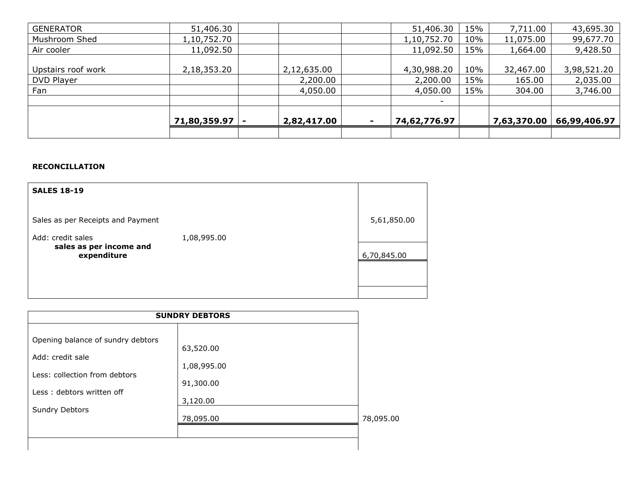| <b>GENERATOR</b>   | 51,406.30    |             |                          | 51,406.30                | 15% | 7,711.00    | 43,695.30    |
|--------------------|--------------|-------------|--------------------------|--------------------------|-----|-------------|--------------|
| Mushroom Shed      | 1,10,752.70  |             |                          | 1,10,752.70              | 10% | 11,075.00   | 99,677.70    |
| Air cooler         | 11,092.50    |             |                          | 11,092.50                | 15% | 1,664.00    | 9,428.50     |
|                    |              |             |                          |                          |     |             |              |
| Upstairs roof work | 2,18,353.20  | 2,12,635.00 |                          | 4,30,988.20              | 10% | 32,467.00   | 3,98,521.20  |
| DVD Player         |              | 2,200.00    |                          | 2,200.00                 | 15% | 165.00      | 2,035.00     |
| Fan                |              | 4,050.00    |                          | 4,050.00                 | 15% | 304.00      | 3,746.00     |
|                    |              |             |                          | $\overline{\phantom{0}}$ |     |             |              |
|                    |              |             |                          |                          |     |             |              |
|                    | 71,80,359.97 | 2,82,417.00 | $\overline{\phantom{a}}$ | 74,62,776.97             |     | 7,63,370.00 | 66,99,406.97 |
|                    |              |             |                          |                          |     |             |              |

#### **RECONCILLATION**

| <b>SALES 18-19</b>                                          |             |             |
|-------------------------------------------------------------|-------------|-------------|
| Sales as per Receipts and Payment                           |             | 5,61,850.00 |
| Add: credit sales<br>sales as per income and<br>expenditure | 1,08,995.00 | 6,70,845.00 |
|                                                             |             |             |
|                                                             |             |             |

| <b>SUNDRY DEBTORS</b>                                                                                                                 |                                                                |           |  |  |
|---------------------------------------------------------------------------------------------------------------------------------------|----------------------------------------------------------------|-----------|--|--|
| Opening balance of sundry debtors<br>Add: credit sale<br>Less: collection from debtors<br>Less: debtors written off<br>Sundry Debtors | 63,520.00<br>1,08,995.00<br>91,300.00<br>3,120.00<br>78,095.00 | 78,095.00 |  |  |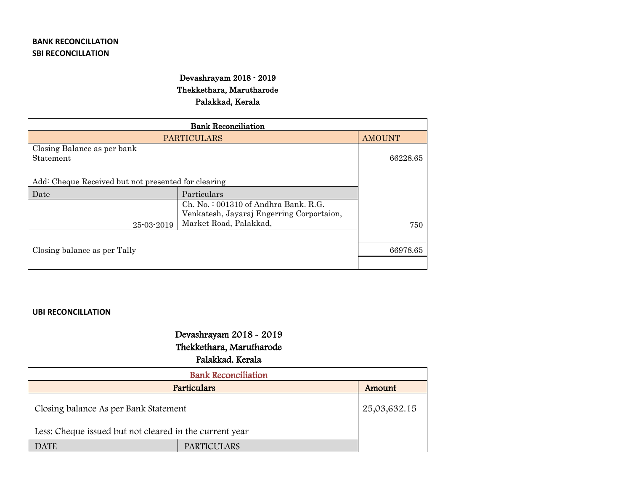### **BANK RECONCILLATION SBI RECONCILLATION**

## Devashrayam 2018 - 2019 Thekkethara, Marutharode Palakkad, Kerala

| <b>PARTICULARS</b>                                  | <b>AMOUNT</b>                                                       |          |
|-----------------------------------------------------|---------------------------------------------------------------------|----------|
| Closing Balance as per bank                         |                                                                     |          |
| Statement                                           |                                                                     | 66228.65 |
|                                                     |                                                                     |          |
| Add: Cheque Received but not presented for clearing |                                                                     |          |
| Date                                                | Particulars                                                         |          |
|                                                     | $Ch. No. : 001310$ of Andhra Bank, R.G.                             |          |
|                                                     | Venkatesh, Jayaraj Engerring Corportaion,<br>Market Road, Palakkad, |          |
| 25-03-2019                                          | 750                                                                 |          |
|                                                     |                                                                     |          |
| Closing balance as per Tally                        |                                                                     | 66978.65 |
|                                                     |                                                                     |          |

#### **UBI RECONCILLATION**

# Devashrayam 2018 - 2019

## Thekkethara, Marutharode

## Palakkad. Kerala

| <b>Bank Reconciliation</b>                              |                    |              |  |  |  |  |  |
|---------------------------------------------------------|--------------------|--------------|--|--|--|--|--|
| Particulars                                             | Amount             |              |  |  |  |  |  |
| Closing balance As per Bank Statement                   |                    | 25,03,632.15 |  |  |  |  |  |
| Less: Cheque issued but not cleared in the current year |                    |              |  |  |  |  |  |
| <b>DATE</b>                                             | <b>PARTICULARS</b> |              |  |  |  |  |  |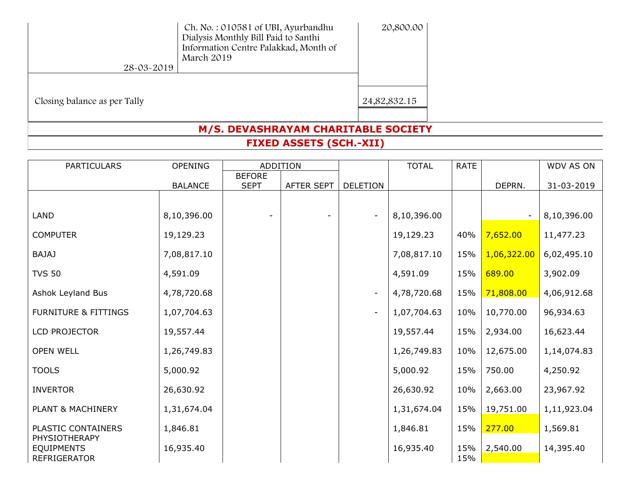| Ch. No.: 010581 of UBI, Ayurbandhu<br>Dialysis Monthly Bill Paid to Santhi<br>Information Centre Palakkad, Month of<br>March 2019 | 20,800.00    |
|-----------------------------------------------------------------------------------------------------------------------------------|--------------|
|                                                                                                                                   |              |
|                                                                                                                                   |              |
|                                                                                                                                   |              |
|                                                                                                                                   | 24,82,832.15 |
|                                                                                                                                   |              |
|                                                                                                                                   |              |

# **M/S. DEVASHRAYAM CHARITABLE SOCIETY**

**FIXED ASSETS (SCH.-XII)**

| <b>PARTICULARS</b>                       | <b>OPENING</b> |               | <b>ADDITION</b> |                          | <b>TOTAL</b> | <b>RATE</b> |                          | WDV AS ON   |
|------------------------------------------|----------------|---------------|-----------------|--------------------------|--------------|-------------|--------------------------|-------------|
|                                          |                | <b>BEFORE</b> |                 |                          |              |             |                          |             |
|                                          | <b>BALANCE</b> | <b>SEPT</b>   | AFTER SEPT      | <b>DELETION</b>          |              |             | DEPRN.                   | 31-03-2019  |
|                                          |                |               |                 |                          |              |             |                          |             |
| <b>LAND</b>                              | 8,10,396.00    |               |                 | $\overline{\phantom{a}}$ | 8,10,396.00  |             | $\overline{\phantom{a}}$ | 8,10,396.00 |
| <b>COMPUTER</b>                          | 19,129.23      |               |                 |                          | 19,129.23    | 40%         | 7,652.00                 | 11,477.23   |
| <b>BAJAJ</b>                             | 7,08,817.10    |               |                 |                          | 7,08,817.10  | 15%         | 1,06,322.00              | 6,02,495.10 |
| <b>TVS 50</b>                            | 4,591.09       |               |                 |                          | 4,591.09     | 15%         | 689.00                   | 3,902.09    |
| Ashok Leyland Bus                        | 4,78,720.68    |               |                 | $\overline{\phantom{a}}$ | 4,78,720.68  | 15%         | 71,808.00                | 4,06,912.68 |
| <b>FURNITURE &amp; FITTINGS</b>          | 1,07,704.63    |               |                 | $\overline{\phantom{a}}$ | 1,07,704.63  | 10%         | 10,770.00                | 96,934.63   |
| LCD PROJECTOR                            | 19,557.44      |               |                 |                          | 19,557.44    | 15%         | 2,934.00                 | 16,623.44   |
| <b>OPEN WELL</b>                         | 1,26,749.83    |               |                 |                          | 1,26,749.83  | 10%         | 12,675.00                | 1,14,074.83 |
| <b>TOOLS</b>                             | 5,000.92       |               |                 |                          | 5,000.92     | 15%         | 750.00                   | 4,250.92    |
| <b>INVERTOR</b>                          | 26,630.92      |               |                 |                          | 26,630.92    | 10%         | 2,663.00                 | 23,967.92   |
| PLANT & MACHINERY                        | 1,31,674.04    |               |                 |                          | 1,31,674.04  | 15%         | 19,751.00                | 1,11,923.04 |
| PLASTIC CONTAINERS<br>PHYSIOTHERAPY      | 1,846.81       |               |                 |                          | 1,846.81     | 15%         | 277.00                   | 1,569.81    |
| <b>EQUIPMENTS</b><br><b>REFRIGERATOR</b> | 16,935.40      |               |                 |                          | 16,935.40    | 15%<br>15%  | 2,540.00                 | 14,395.40   |